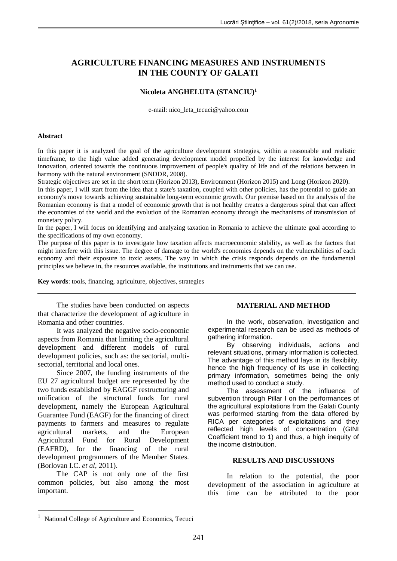# **AGRICULTURE FINANCING MEASURES AND INSTRUMENTS IN THE COUNTY OF GALATI**

### **Nicoleta ANGHELUTA (STANCIU)<sup>1</sup>**

e-mail: [nico\\_leta\\_tecuci@yahoo.com](mailto:nico_leta_tecuci@yahoo.com)

#### **Abstract**

In this paper it is analyzed the goal of the agriculture development strategies, within a reasonable and realistic timeframe, to the high value added generating development model propelled by the interest for knowledge and innovation, oriented towards the continuous improvement of people's quality of life and of the relations between in harmony with the natural environment (SNDDR, 2008).

Strategic objectives are set in the short term (Horizon 2013), Environment (Horizon 2015) and Long (Horizon 2020).

In this paper, I will start from the idea that a state's taxation, coupled with other policies, has the potential to guide an economy's move towards achieving sustainable long-term economic growth. Our premise based on the analysis of the Romanian economy is that a model of economic growth that is not healthy creates a dangerous spiral that can affect the economies of the world and the evolution of the Romanian economy through the mechanisms of transmission of monetary policy.

In the paper, I will focus on identifying and analyzing taxation in Romania to achieve the ultimate goal according to the specifications of my own economy.

The purpose of this paper is to investigate how taxation affects macroeconomic stability, as well as the factors that might interfere with this issue. The degree of damage to the world's economies depends on the vulnerabilities of each economy and their exposure to toxic assets. The way in which the crisis responds depends on the fundamental principles we believe in, the resources available, the institutions and instruments that we can use.

**Key words**: tools, financing, agriculture, objectives, strategies

The studies have been conducted on aspects that characterize the development of agriculture in Romania and other countries.

It was analyzed the negative socio-economic aspects from Romania that limiting the agricultural development and different models of rural development policies, such as: the sectorial, multisectorial, territorial and local ones.

Since 2007, the funding instruments of the EU 27 agricultural budget are represented by the two funds established by EAGGF restructuring and unification of the structural funds for rural development, namely the European Agricultural Guarantee Fund (EAGF) for the financing of direct payments to farmers and measures to regulate agricultural markets, and the European Agricultural Fund for Rural Development (EAFRD), for the financing of the rural development programmers of the Member States. (Borlovan I.C. *et al*, 2011).

The CAP is not only one of the first common policies, but also among the most important.

#### **MATERIAL AND METHOD**

In the work, observation, investigation and experimental research can be used as methods of gathering information.

By observing individuals, actions and relevant situations, primary information is collected. The advantage of this method lays in its flexibility, hence the high frequency of its use in collecting primary information, sometimes being the only method used to conduct a study.

The assessment of the influence of subvention through Pillar I on the performances of the agricultural exploitations from the Galati County was performed starting from the data offered by RICA per categories of exploitations and they reflected high levels of concentration (GINI Coefficient trend to 1) and thus, a high inequity of the income distribution.

#### **RESULTS AND DISCUSSIONS**

In relation to the potential, the poor development of the association in agriculture at this time can be attributed to the poor

1

<sup>&</sup>lt;sup>1</sup> National College of Agriculture and Economics, Tecuci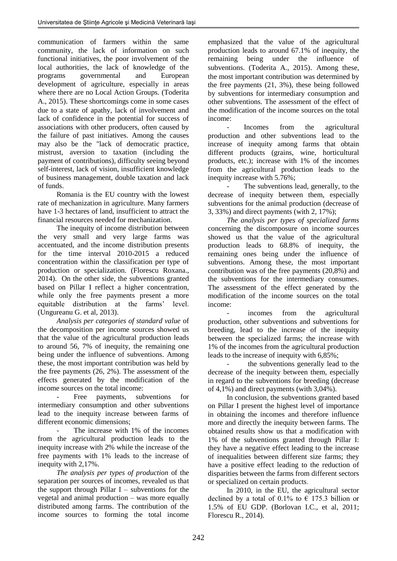communication of farmers within the same community, the lack of information on such functional initiatives, the poor involvement of the local authorities, the lack of knowledge of the programs governmental and European development of agriculture, especially in areas where there are no Local Action Groups. (Toderita A., 2015). These shortcomings come in some cases due to a state of apathy, lack of involvement and lack of confidence in the potential for success of associations with other producers, often caused by the failure of past initiatives. Among the causes may also be the "lack of democratic practice, mistrust, aversion to taxation (including the payment of contributions), difficulty seeing beyond self-interest, lack of vision, insufficient knowledge of business management, double taxation and lack of funds.

Romania is the EU country with the lowest rate of mechanization in agriculture. Many farmers have 1-3 hectares of land, insufficient to attract the financial resources needed for mechanization.

The inequity of income distribution between the very small and very large farms was accentuated, and the income distribution presents for the time interval 2010-2015 a reduced concentration within the classification per type of production or specialization. (Florescu Roxana., 2014). On the other side, the subventions granted based on Pillar I reflect a higher concentration, while only the free payments present a more equitable distribution at the farms' level. (Ungureanu G. et al, 2013).

*Analysis per categories of standard value* of the decomposition per income sources showed us that the value of the agricultural production leads to around 56, 7% of inequity, the remaining one being under the influence of subventions. Among these, the most important contribution was held by the free payments (26, 2%). The assessment of the effects generated by the modification of the income sources on the total income:

Free payments, subventions for intermediary consumption and other subventions lead to the inequity increase between farms of different economic dimensions;

The increase with 1% of the incomes from the agricultural production leads to the inequity increase with 2% while the increase of the free payments with 1% leads to the increase of inequity with 2,17%.

*The analysis per types of production* of the separation per sources of incomes, revealed us that the support through Pillar  $I$  – subventions for the vegetal and animal production – was more equally distributed among farms. The contribution of the income sources to forming the total income emphasized that the value of the agricultural production leads to around 67.1% of inequity, the remaining being under the influence of subventions. (Toderita A., 2015). Among these, the most important contribution was determined by the free payments (21, 3%), these being followed by subventions for intermediary consumption and other subventions. The assessment of the effect of the modification of the income sources on the total income:

Incomes from the agricultural production and other subventions lead to the increase of inequity among farms that obtain different products (grains, wine, horticultural products, etc.); increase with 1% of the incomes from the agricultural production leads to the inequity increase with 5.76%;

The subventions lead, generally, to the decrease of inequity between them, especially subventions for the animal production (decrease of 3, 33%) and direct payments (with 2, 17%);

*The analysis per types of specialized farms*  concerning the discomposure on income sources showed us that the value of the agricultural production leads to 68.8% of inequity, the remaining ones being under the influence of subventions. Among these, the most important contribution was of the free payments (20,8%) and the subventions for the intermediary consumes. The assessment of the effect generated by the modification of the income sources on the total income:

incomes from the agricultural production, other subventions and subventions for breeding, lead to the increase of the inequity between the specialized farms; the increase with 1% of the incomes from the agricultural production leads to the increase of inequity with 6,85%;

the subventions generally lead to the decrease of the inequity between them, especially in regard to the subventions for breeding (decrease of 4,1%) and direct payments (with 3,04%).

In conclusion, the subventions granted based on Pillar I present the highest level of importance in obtaining the incomes and therefore influence more and directly the inequity between farms. The obtained results show us that a modification with 1% of the subventions granted through Pillar I: they have a negative effect leading to the increase of inequalities between different size farms; they have a positive effect leading to the reduction of disparities between the farms from different sectors or specialized on certain products.

In 2010, in the EU, the agricultural sector declined by a total of 0.1% to  $\epsilon$  175.3 billion or 1.5% of EU GDP. (Borlovan I.C., et al, 2011; Florescu R., 2014).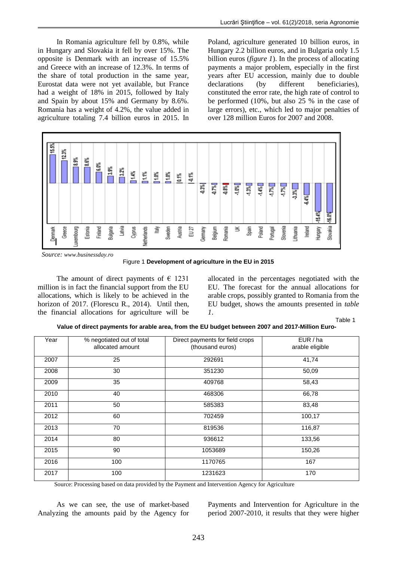In Romania agriculture fell by 0.8%, while in Hungary and Slovakia it fell by over 15%. The opposite is Denmark with an increase of 15.5% and Greece with an increase of 12.3%. In terms of the share of total production in the same year, Eurostat data were not yet available, but France had a weight of 18% in 2015, followed by Italy and Spain by about 15% and Germany by 8.6%. Romania has a weight of 4.2%, the value added in agriculture totaling 7.4 billion euros in 2015. In Poland, agriculture generated 10 billion euros, in Hungary 2.2 billion euros, and in Bulgaria only 1.5 billion euros (*figure 1*). In the process of allocating payments a major problem, especially in the first years after EU accession, mainly due to double declarations (by different beneficiaries), constituted the error rate, the high rate of control to be performed (10%, but also 25 % in the case of large errors), etc., which led to major penalties of over 128 million Euros for 2007 and 2008.



*Source: www.businessday.ro*

Figure 1 **Development of agriculture in the EU in 2015**

The amount of direct payments of  $\epsilon$  1231 million is in fact the financial support from the EU allocations, which is likely to be achieved in the horizon of 2017. (Florescu R., 2014). Until then, the financial allocations for agriculture will be

allocated in the percentages negotiated with the EU. The forecast for the annual allocations for arable crops, possibly granted to Romania from the EU budget, shows the amounts presented in *table 1*.

Table 1

**Value of direct payments for arable area, from the EU budget between 2007 and 2017-Million Euro-**

| Year | % negotiated out of total | Direct payments for field crops | EUR/ha          |
|------|---------------------------|---------------------------------|-----------------|
|      | allocated amount          | (thousand euros)                | arable eligible |
|      |                           |                                 |                 |
| 2007 | 25                        | 292691                          | 41,74           |
|      |                           |                                 |                 |
| 2008 | 30                        | 351230                          | 50,09           |
|      |                           |                                 |                 |
| 2009 | 35                        | 409768                          | 58,43           |
|      |                           |                                 |                 |
| 2010 | 40                        | 468306                          | 66,78           |
|      |                           |                                 |                 |
| 2011 | 50                        | 585383                          | 83,48           |
| 2012 | 60                        | 702459                          | 100,17          |
|      |                           |                                 |                 |
| 2013 | 70                        | 819536                          | 116,87          |
|      |                           |                                 |                 |
| 2014 | 80                        | 936612                          | 133,56          |
|      |                           |                                 |                 |
| 2015 | 90                        | 1053689                         | 150,26          |
|      |                           |                                 |                 |
| 2016 | 100                       | 1170765                         | 167             |
| 2017 | 100                       | 1231623                         | 170             |
|      |                           |                                 |                 |

Source: Processing based on data provided by the Payment and Intervention Agency for Agriculture

As we can see, the use of market-based Analyzing the amounts paid by the Agency for Payments and Intervention for Agriculture in the period 2007-2010, it results that they were higher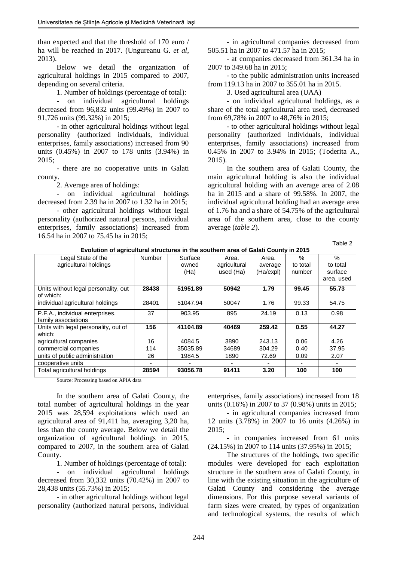than expected and that the threshold of 170 euro / ha will be reached in 2017. (Ungureanu G. *et al*, 2013).

Below we detail the organization of agricultural holdings in 2015 compared to 2007, depending on several criteria.

1. Number of holdings (percentage of total):

- on individual agricultural holdings decreased from 96,832 units (99.49%) in 2007 to 91,726 units (99.32%) in 2015;

- in other agricultural holdings without legal personality (authorized individuals, individual enterprises, family associations) increased from 90 units (0.45%) in 2007 to 178 units (3.94%) in 2015;

- there are no cooperative units in Galati county.

2. Average area of holdings:

- on individual agricultural holdings decreased from 2.39 ha in 2007 to 1.32 ha in 2015;

- other agricultural holdings without legal personality (authorized natural persons, individual enterprises, family associations) increased from 16.54 ha in 2007 to 75.45 ha in 2015;

- in agricultural companies decreased from 505.51 ha in 2007 to 471.57 ha in 2015;

- at companies decreased from 361.34 ha in 2007 to 349.68 ha in 2015;

- to the public administration units increased from 119.13 ha in 2007 to 355.01 ha in 2015.

3. Used agricultural area (UAA)

- on individual agricultural holdings, as a share of the total agricultural area used, decreased from 69,78% in 2007 to 48,76% in 2015;

- to other agricultural holdings without legal personality (authorized individuals, individual enterprises, family associations) increased from 0.45% in 2007 to 3.94% in 2015; (Toderita A., 2015).

In the southern area of Galati County, the main agricultural holding is also the individual agricultural holding with an average area of 2.08 ha in 2015 and a share of 99.58%. In 2007, the individual agricultural holding had an average area of 1.76 ha and a share of 54.75% of the agricultural area of the southern area, close to the county average (*table 2*).

Table 2

| Legal State of the                             | <b>Number</b> | Surface  | Area.        | Area.     | $\%$     | %          |
|------------------------------------------------|---------------|----------|--------------|-----------|----------|------------|
| agricultural holdings                          |               | owned    | agricultural | average   | to total | to total   |
|                                                |               | (Ha)     | used (Ha)    | (Ha/expl) | number   | surface    |
|                                                |               |          |              |           |          | area, used |
| Units without legal personality, out           | 28438         | 51951.89 | 50942        | 1.79      | 99.45    | 55.73      |
| of which:                                      |               |          |              |           |          |            |
| individual agricultural holdings               | 28401         | 51047.94 | 50047        | 1.76      | 99.33    | 54.75      |
| P.F.A., individual enterprises,                | 37            | 903.95   | 895          | 24.19     | 0.13     | 0.98       |
| family associations                            |               |          |              |           |          |            |
| Units with legal personality, out of<br>which: | 156           | 41104.89 | 40469        | 259.42    | 0.55     | 44.27      |
| agricultural companies                         | 16            | 4084.5   | 3890         | 243.13    | 0.06     | 4.26       |
| commercial companies                           | 114           | 35035.89 | 34689        | 304.29    | 0.40     | 37.95      |
| units of public administration                 | 26            | 1984.5   | 1890         | 72.69     | 0.09     | 2.07       |
| cooperative units                              |               |          |              |           |          |            |
| Total agricultural holdings                    | 28594         | 93056.78 | 91411        | 3.20      | 100      | 100        |

**Evolution of agricultural structures in the southern area of Galati County in 2015**

Source: Processing based on APIA data

In the southern area of Galati County, the total number of agricultural holdings in the year 2015 was 28,594 exploitations which used an agricultural area of 91,411 ha, averaging 3,20 ha, less than the county average. Below we detail the organization of agricultural holdings in 2015, compared to 2007, in the southern area of Galati County.

1. Number of holdings (percentage of total):

- on individual agricultural holdings decreased from 30,332 units (70.42%) in 2007 to 28,438 units (55.73%) in 2015;

- in other agricultural holdings without legal personality (authorized natural persons, individual enterprises, family associations) increased from 18 units (0.16%) in 2007 to 37 (0.98%) units in 2015;

- in agricultural companies increased from 12 units (3.78%) in 2007 to 16 units (4.26%) in 2015;

- in companies increased from 61 units (24.15%) in 2007 to 114 units (37.95%) in 2015;

The structures of the holdings, two specific modules were developed for each exploitation structure in the southern area of Galati County, in line with the existing situation in the agriculture of Galati County and considering the average dimensions. For this purpose several variants of farm sizes were created, by types of organization and technological systems, the results of which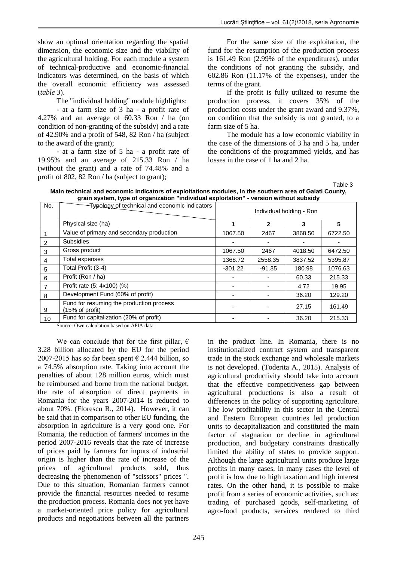show an optimal orientation regarding the spatial dimension, the economic size and the viability of the agricultural holding. For each module a system of technical-productive and economic-financial indicators was determined, on the basis of which the overall economic efficiency was assessed (*table 3*).

The "individual holding" module highlights:

- at a farm size of 3 ha - a profit rate of 4.27% and an average of 60.33 Ron / ha (on condition of non-granting of the subsidy) and a rate of 42.90% and a profit of 548, 82 Ron / ha (subject to the award of the grant);

- at a farm size of 5 ha - a profit rate of 19.95% and an average of 215.33 Ron / ha (without the grant) and a rate of 74.48% and a profit of 802, 82 Ron / ha (subject to grant);

For the same size of the exploitation, the fund for the resumption of the production process is 161.49 Ron (2.99% of the expenditures), under the conditions of not granting the subsidy, and 602.86 Ron (11.17% of the expenses), under the terms of the grant.

If the profit is fully utilized to resume the production process, it covers 35% of the production costs under the grant award and 9.37%, on condition that the subsidy is not granted, to a farm size of 5 ha.

The module has a low economic viability in the case of the dimensions of 3 ha and 5 ha, under the conditions of the programmed yields, and has losses in the case of 1 ha and 2 ha.

Table 3

**Main technical and economic indicators of exploitations modules, in the southern area of Galati County, grain system, type of organization "individual exploitation" - version without subsidy**

| No. | <b>Typology of technical and economic indicators</b>        | Individual holding - Ron |          |         |         |
|-----|-------------------------------------------------------------|--------------------------|----------|---------|---------|
|     | Physical size (ha)                                          |                          | 2        | 3       | 5       |
|     | Value of primary and secondary production                   | 1067.50                  | 2467     | 3868.50 | 6722.50 |
| 2   | <b>Subsidies</b>                                            |                          |          |         |         |
| 3   | Gross product                                               | 1067.50                  | 2467     | 4018.50 | 6472.50 |
| 4   | Total expenses                                              | 1368.72                  | 2558.35  | 3837.52 | 5395.87 |
| 5   | Total Profit (3-4)                                          | $-301.22$                | $-91.35$ | 180.98  | 1076.63 |
| 6   | Profit (Ron / ha)                                           |                          |          | 60.33   | 215.33  |
| 7   | Profit rate (5: 4x100) (%)                                  |                          |          | 4.72    | 19.95   |
| 8   | Development Fund (60% of profit)                            |                          |          | 36.20   | 129.20  |
| 9   | Fund for resuming the production process<br>(15% of profit) |                          |          | 27.15   | 161.49  |
| 10  | Fund for capitalization (20% of profit)                     |                          |          | 36.20   | 215.33  |

Source: Own calculation based on APIA data

We can conclude that for the first pillar,  $\epsilon$ 3.28 billion allocated by the EU for the period 2007-2015 has so far been spent  $\epsilon$  2.444 billion, so a 74.5% absorption rate. Taking into account the penalties of about 128 million euros, which must be reimbursed and borne from the national budget, the rate of absorption of direct payments in Romania for the years 2007-2014 is reduced to about 70%. (Florescu R., 2014). However, it can be said that in comparison to other EU funding, the absorption in agriculture is a very good one. For Romania, the reduction of farmers' incomes in the period 2007-2016 reveals that the rate of increase of prices paid by farmers for inputs of industrial origin is higher than the rate of increase of the prices of agricultural products sold, thus decreasing the phenomenon of "scissors" prices ". Due to this situation, Romanian farmers cannot provide the financial resources needed to resume the production process. Romania does not yet have a market-oriented price policy for agricultural products and negotiations between all the partners

in the product line. In Romania, there is no institutionalized contract system and transparent trade in the stock exchange and wholesale markets is not developed. (Toderita A., 2015). Analysis of agricultural productivity should take into account that the effective competitiveness gap between agricultural productions is also a result of differences in the policy of supporting agriculture. The low profitability in this sector in the Central and Eastern European countries led production units to decapitalization and constituted the main factor of stagnation or decline in agricultural production, and budgetary constraints drastically limited the ability of states to provide support. Although the large agricultural units produce large profits in many cases, in many cases the level of profit is low due to high taxation and high interest rates. On the other hand, it is possible to make profit from a series of economic activities, such as: trading of purchased goods, self-marketing of agro-food products, services rendered to third